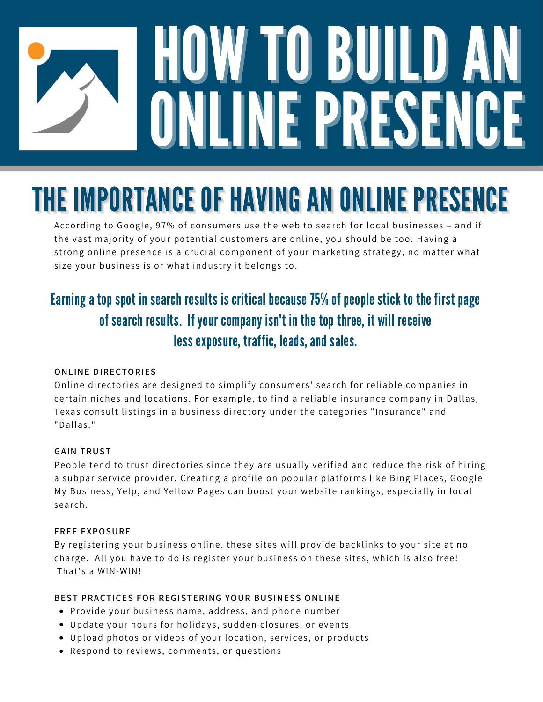# HOW TO BUILD AN NE PRES

# THE IMPORTANCE OF HAVING AN ONLINE PRESENCE

According to Google, 97% of [consumers](http://blogs.constantcontact.com/fresh-insights/online-presence/) use the web to search for local businesses – and if the vast majority of your potential customers are online, you should be too. Having a strong online presence is a crucial component of your marketing strategy, no matter what size your business is or what industry it belongs to.

### Earning a top spot in search results is critical because 75% of people stick to the first page of search results. If your company isn't in the top three, it will receive less exposure, traffic, leads, and sales.

#### **ONLINE DIRECTORIES**

Online directories are designed to simplify consumers' search for reliable companies in certain niches and locations. For example, to find a reliable insurance company in Dallas, Texas consult listings in a business directory under the categories "Insurance" and "Dallas."

#### **GAIN TRUST**

People tend to trust directories since they are usually verified and reduce the risk of hiring a subpar service provider. Creating a profile on popular platforms like Bing Places, Google My Business, Yelp, and Yellow Pages can boost your website rankings, especially in local search.

#### **FREE EXPOSURE**

By registering your business online. these sites will provide backlinks to your site at no charge. All you have to do is register your business on these sites, which is also free! That's a WIN-WIN!

#### **BEST PRACTICES FOR REGISTERING YOUR BUSINESS ONLINE**

- Provide your business name, address, and phone number
- Update your hours for holidays, sudden closures, or events
- Upload photos or videos of your location, services, or products
- Respond to reviews, comments, or questions